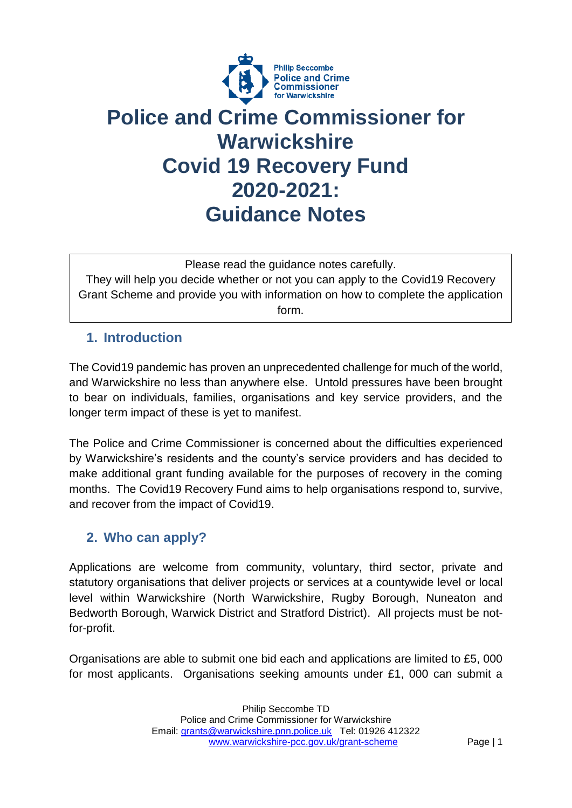

# **Police and Crime Commissioner for Warwickshire Covid 19 Recovery Fund 2020-2021: Guidance Notes**

Please read the guidance notes carefully.

They will help you decide whether or not you can apply to the Covid19 Recovery Grant Scheme and provide you with information on how to complete the application form.

### **1. Introduction**

The Covid19 pandemic has proven an unprecedented challenge for much of the world, and Warwickshire no less than anywhere else. Untold pressures have been brought to bear on individuals, families, organisations and key service providers, and the longer term impact of these is yet to manifest.

The Police and Crime Commissioner is concerned about the difficulties experienced by Warwickshire's residents and the county's service providers and has decided to make additional grant funding available for the purposes of recovery in the coming months. The Covid19 Recovery Fund aims to help organisations respond to, survive, and recover from the impact of Covid19.

## **2. Who can apply?**

Applications are welcome from community, voluntary, third sector, private and statutory organisations that deliver projects or services at a countywide level or local level within Warwickshire (North Warwickshire, Rugby Borough, Nuneaton and Bedworth Borough, Warwick District and Stratford District). All projects must be notfor-profit.

Organisations are able to submit one bid each and applications are limited to £5, 000 for most applicants. Organisations seeking amounts under £1, 000 can submit a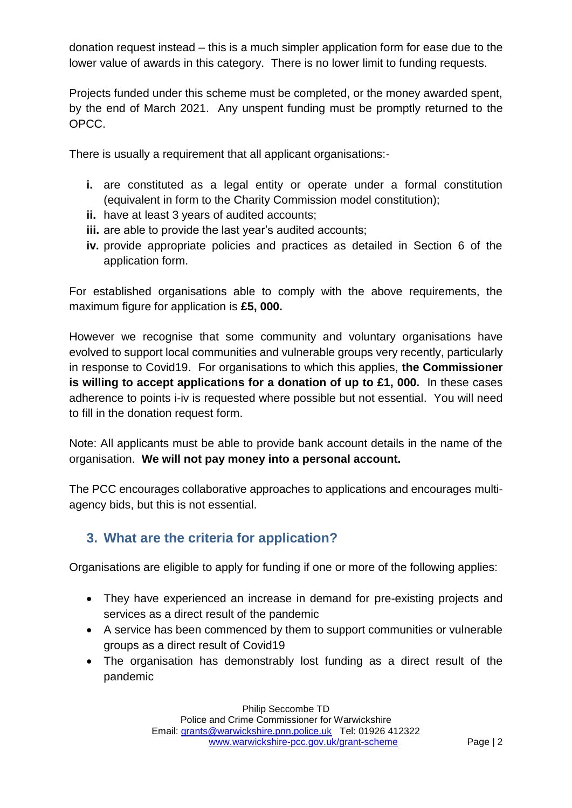donation request instead – this is a much simpler application form for ease due to the lower value of awards in this category. There is no lower limit to funding requests.

Projects funded under this scheme must be completed, or the money awarded spent, by the end of March 2021. Any unspent funding must be promptly returned to the OPCC.

There is usually a requirement that all applicant organisations:-

- **i.** are constituted as a legal entity or operate under a formal constitution (equivalent in form to the Charity Commission model constitution);
- **ii.** have at least 3 years of audited accounts;
- **iii.** are able to provide the last year's audited accounts;
- **iv.** provide appropriate policies and practices as detailed in Section 6 of the application form.

For established organisations able to comply with the above requirements, the maximum figure for application is **£5, 000.**

However we recognise that some community and voluntary organisations have evolved to support local communities and vulnerable groups very recently, particularly in response to Covid19.For organisations to which this applies, **the Commissioner is willing to accept applications for a donation of up to £1, 000.** In these cases adherence to points i-iv is requested where possible but not essential. You will need to fill in the donation request form.

Note: All applicants must be able to provide bank account details in the name of the organisation. **We will not pay money into a personal account.**

The PCC encourages collaborative approaches to applications and encourages multiagency bids, but this is not essential.

#### **3. What are the criteria for application?**

Organisations are eligible to apply for funding if one or more of the following applies:

- They have experienced an increase in demand for pre-existing projects and services as a direct result of the pandemic
- A service has been commenced by them to support communities or vulnerable groups as a direct result of Covid19
- The organisation has demonstrably lost funding as a direct result of the pandemic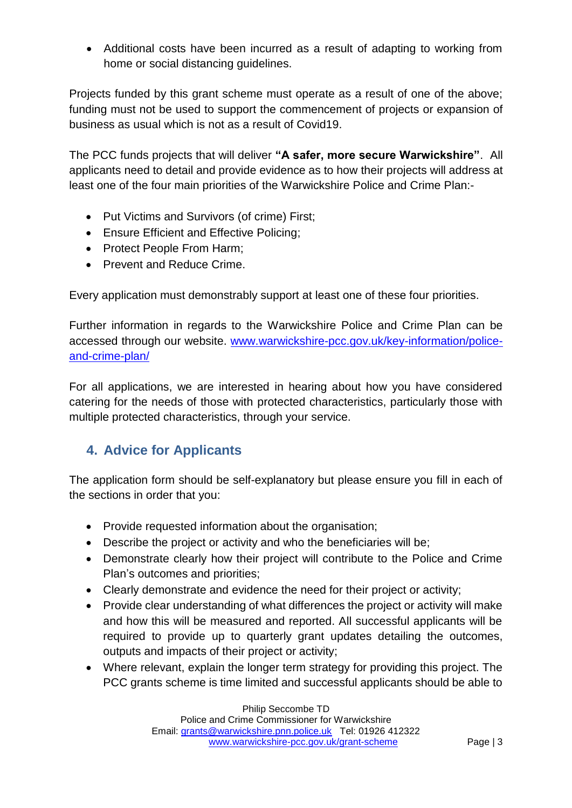Additional costs have been incurred as a result of adapting to working from home or social distancing guidelines.

Projects funded by this grant scheme must operate as a result of one of the above; funding must not be used to support the commencement of projects or expansion of business as usual which is not as a result of Covid19.

The PCC funds projects that will deliver **"A safer, more secure Warwickshire"**. All applicants need to detail and provide evidence as to how their projects will address at least one of the four main priorities of the Warwickshire Police and Crime Plan:-

- Put Victims and Survivors (of crime) First;
- Ensure Efficient and Effective Policing;
- Protect People From Harm;
- Prevent and Reduce Crime.

Every application must demonstrably support at least one of these four priorities.

Further information in regards to the Warwickshire Police and Crime Plan can be accessed through our website. [www.warwickshire-pcc.gov.uk/key-information/police](http://www.warwickshire-pcc.gov.uk/key-information/police-and-crime-plan/)[and-crime-plan/](http://www.warwickshire-pcc.gov.uk/key-information/police-and-crime-plan/)

For all applications, we are interested in hearing about how you have considered catering for the needs of those with protected characteristics, particularly those with multiple protected characteristics, through your service.

#### **4. Advice for Applicants**

The application form should be self-explanatory but please ensure you fill in each of the sections in order that you:

- Provide requested information about the organisation;
- Describe the project or activity and who the beneficiaries will be;
- Demonstrate clearly how their project will contribute to the Police and Crime Plan's outcomes and priorities;
- Clearly demonstrate and evidence the need for their project or activity;
- Provide clear understanding of what differences the project or activity will make and how this will be measured and reported. All successful applicants will be required to provide up to quarterly grant updates detailing the outcomes, outputs and impacts of their project or activity;
- Where relevant, explain the longer term strategy for providing this project. The PCC grants scheme is time limited and successful applicants should be able to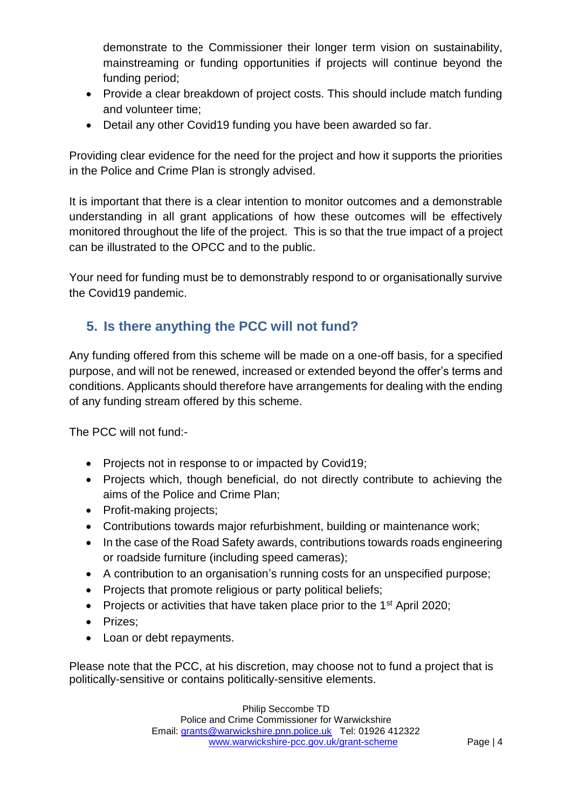demonstrate to the Commissioner their longer term vision on sustainability, mainstreaming or funding opportunities if projects will continue beyond the funding period;

- Provide a clear breakdown of project costs. This should include match funding and volunteer time;
- Detail any other Covid19 funding you have been awarded so far.

Providing clear evidence for the need for the project and how it supports the priorities in the Police and Crime Plan is strongly advised.

It is important that there is a clear intention to monitor outcomes and a demonstrable understanding in all grant applications of how these outcomes will be effectively monitored throughout the life of the project. This is so that the true impact of a project can be illustrated to the OPCC and to the public.

Your need for funding must be to demonstrably respond to or organisationally survive the Covid19 pandemic.

## **5. Is there anything the PCC will not fund?**

Any funding offered from this scheme will be made on a one-off basis, for a specified purpose, and will not be renewed, increased or extended beyond the offer's terms and conditions. Applicants should therefore have arrangements for dealing with the ending of any funding stream offered by this scheme.

The PCC will not fund:-

- Projects not in response to or impacted by Covid19;
- Projects which, though beneficial, do not directly contribute to achieving the aims of the Police and Crime Plan;
- Profit-making projects;
- Contributions towards major refurbishment, building or maintenance work;
- In the case of the Road Safety awards, contributions towards roads engineering or roadside furniture (including speed cameras);
- A contribution to an organisation's running costs for an unspecified purpose;
- Projects that promote religious or party political beliefs;
- Projects or activities that have taken place prior to the  $1<sup>st</sup>$  April 2020;
- Prizes:
- Loan or debt repayments.

Please note that the PCC, at his discretion, may choose not to fund a project that is politically-sensitive or contains politically-sensitive elements.